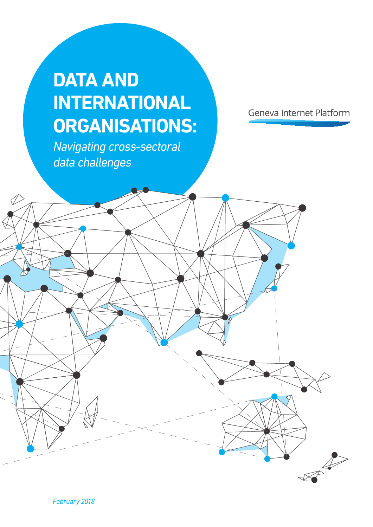# **DATA AND INTERNATIONAL ORGANISATIONS:**

*Navigating cross-sectoral data challenges*

*February 2018*

Geneva Internet Platform

 $\sqrt{2}$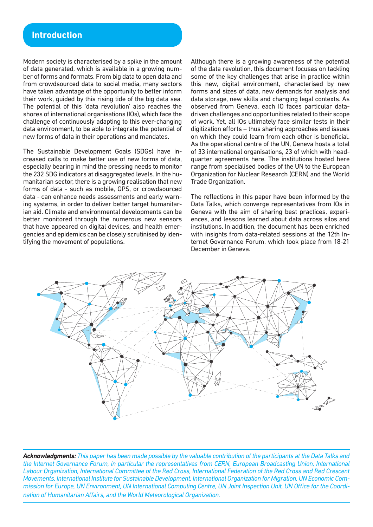# **Introduction**

Modern society is characterised by a spike in the amount of data generated, which is available in a growing number of forms and formats. From big data to open data and from crowdsourced data to social media, many sectors have taken advantage of the opportunity to better inform their work, guided by this rising tide of the big data sea. The potential of this 'data revolution' also reaches the shores of international organisations (IOs), which face the challenge of continuously adapting to this ever-changing data environment, to be able to integrate the potential of new forms of data in their operations and mandates.

The Sustainable Development Goals (SDGs) have increased calls to make better use of new forms of data, especially bearing in mind the pressing needs to monitor the 232 SDG indicators at disaggregated levels. In the humanitarian sector, there is a growing realisation that new forms of data - such as mobile, GPS, or crowdsourced data - can enhance needs assessments and early warning systems, in order to deliver better target humanitarian aid. Climate and environmental developments can be better monitored through the numerous new sensors that have appeared on digital devices, and health emergencies and epidemics can be closely scrutinised by identifying the movement of populations.

Although there is a growing awareness of the potential of the data revolution, this document focuses on tackling some of the key challenges that arise in practice within this new, digital environment, characterised by new forms and sizes of data, new demands for analysis and data storage, new skills and changing legal contexts. As observed from Geneva, each IO faces particular datadriven challenges and opportunities related to their scope of work. Yet, all IOs ultimately face similar tests in their digitization efforts – thus sharing approaches and issues on which they could learn from each other is beneficial. As the operational centre of the UN, Geneva hosts a total of 33 international organisations, 23 of which with headquarter agreements here. The institutions hosted here range from specialised bodies of the UN to the European Organization for Nuclear Research (CERN) and the World Trade Organization.

The reflections in this paper have been informed by the Data Talks, which converge representatives from IOs in Geneva with the aim of sharing best practices, experiences, and lessons learned about data across silos and institutions. In addition, the document has been enriched with insights from data-related sessions at the 12th Internet Governance Forum, which took place from 18-21 December in Geneva.



*Acknowledgments: This paper has been made possible by the valuable contribution of the participants at the Data Talks and the Internet Governance Forum, in particular the representatives from CERN, European Broadcasting Union, International Labour Organization, International Committee of the Red Cross, International Federation of the Red Cross and Red Crescent Movements, International Institute for Sustainable Development, International Organization for Migration, UN Economic Commission for Europe, UN Environment, UN International Computing Centre, UN Joint Inspection Unit, UN Office for the Coordination of Humanitarian Affairs, and the World Meteorological Organization.*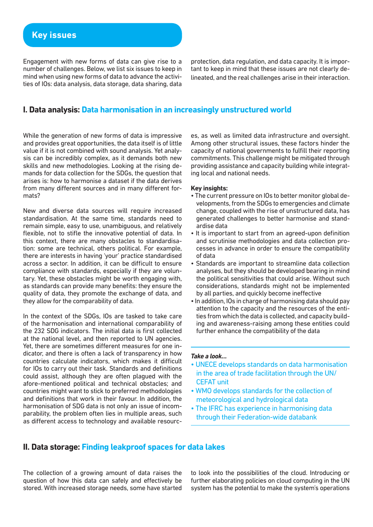Engagement with new forms of data can give rise to a number of challenges. Below, we list six issues to keep in mind when using new forms of data to advance the activities of IOs: data analysis, data storage, data sharing, data

protection, data regulation, and data capacity. It is important to keep in mind that these issues are not clearly delineated, and the real challenges arise in their interaction.

## **I. Data analysis: Data harmonisation in an increasingly unstructured world**

While the generation of new forms of data is impressive and provides great opportunities, the data itself is of little value if it is not combined with sound analysis. Yet analysis can be incredibly complex, as it demands both new skills and new methodologies. Looking at the rising demands for data collection for the SDGs, the question that arises is: how to harmonise a dataset if the data derives from many different sources and in many different formats?

New and diverse data sources will require increased standardisation. At the same time, standards need to remain simple, easy to use, unambiguous, and relatively flexible, not to stifle the innovative potential of data. In this context, there are many obstacles to standardisation: some are technical, others political. For example, there are interests in having 'your' practice standardised across a sector. In addition, it can be difficult to ensure compliance with standards, especially if they are voluntary. Yet, these obstacles might be worth engaging with, as standards can provide many benefits: they ensure the quality of data, they promote the exchange of data, and they allow for the comparability of data.

In the context of the SDGs, IOs are tasked to take care of the harmonisation and international comparability of the 232 SDG indicators. The initial data is first collected at the national level, and then reported to UN agencies. Yet, there are sometimes different measures for one indicator, and there is often a lack of transparency in how countries calculate indicators, which makes it difficult for IOs to carry out their task. Standards and definitions could assist, although they are often plagued with the afore-mentioned political and technical obstacles; and countries might want to stick to preferred methodologies and definitions that work in their favour. In addition, the harmonisation of SDG data is not only an issue of incomparability, the problem often lies in multiple areas, such as different access to technology and available resourc-

es, as well as limited data infrastructure and oversight. Among other structural issues, these factors hinder the capacity of national governments to fulfill their reporting commitments. This challenge might be mitigated through providing assistance and capacity building while integrating local and national needs.

## **Key insights:**

- The current pressure on IOs to better monitor global developments, from the SDGs to emergencies and climate change, coupled with the rise of unstructured data, has generated challenges to better harmonise and standardise data
- It is important to start from an agreed-upon definition and scrutinise methodologies and data collection processes in advance in order to ensure the compatibility of data
- Standards are important to streamline data collection analyses, but they should be developed bearing in mind the political sensitivities that could arise. Without such considerations, standards might not be implemented by all parties, and quickly become ineffective
- In addition, IOs in charge of harmonising data should pay attention to the capacity and the resources of the entities from which the data is collected, and capacity building and awareness-raising among these entities could further enhance the compatibility of the data

#### *Take a look…*

- UNECE develops standards on data harmonisation in the area of trade facilitation through the UN/ CEFAT unit
- WMO develops standards for the collection of meteorological and hydrological data
- The IFRC has experience in harmonising data through their Federation-wide databank

# **II. Data storage: Finding leakproof spaces for data lakes**

The collection of a growing amount of data raises the question of how this data can safely and effectively be stored. With increased storage needs, some have started to look into the possibilities of the cloud. Introducing or further elaborating policies on cloud computing in the UN system has the potential to make the system's operations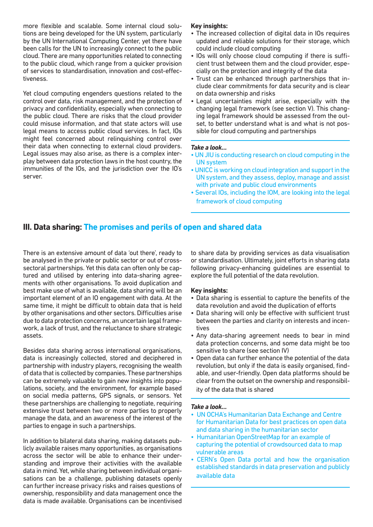more flexible and scalable. Some internal cloud solutions are being developed for the UN system, particularly by the UN International Computing Center, yet there have been calls for the UN to increasingly connect to the public cloud. There are many opportunities related to connecting to the public cloud, which range from a quicker provision of services to standardisation, innovation and cost-effectiveness.

Yet cloud computing engenders questions related to the control over data, risk management, and the protection of privacy and confidentiality, especially when connecting to the public cloud. There are risks that the cloud provider could misuse information, and that state actors will use legal means to access public cloud services. In fact, IOs might feel concerned about relinquishing control over their data when connecting to external cloud providers. Legal issues may also arise, as there is a complex interplay between data protection laws in the host country, the immunities of the IOs, and the jurisdiction over the IO's server.

## **Key insights:**

- The increased collection of digital data in IOs requires updated and reliable solutions for their storage, which could include cloud computing
- IOs will only choose cloud computing if there is sufficient trust between them and the cloud provider, especially on the protection and integrity of the data
- Trust can be enhanced through partnerships that include clear commitments for data security and is clear on data ownership and risks
- Legal uncertainties might arise, especially with the changing legal framework (see section V). This changing legal framework should be assessed from the outset, to better understand what is and what is not possible for cloud computing and partnerships

#### *Take a look…*

- UN JIU is conducting research on cloud computing in the UN system
- UNICC is working on cloud integration and support in the UN system, and they assess, deploy, manage and assist with private and public cloud environments
- Several IOs, including the IOM, are looking into the legal framework of cloud computing

# **III. Data sharing: The promises and perils of open and shared data**

There is an extensive amount of data 'out there', ready to be analysed in the private or public sector or out of crosssectoral partnerships. Yet this data can often only be captured and utilised by entering into data-sharing agreements with other organisations. To avoid duplication and best make use of what is available, data sharing will be an important element of an IO engagement with data. At the same time, it might be difficult to obtain data that is held by other organisations and other sectors. Difficulties arise due to data protection concerns, an uncertain legal framework, a lack of trust, and the reluctance to share strategic assets.

Besides data sharing across international organisations, data is increasingly collected, stored and deciphered in partnership with industry players, recognising the wealth of data that is collected by companies. These partnerships can be extremely valuable to gain new insights into populations, society, and the environment, for example based on social media patterns, GPS signals, or sensors. Yet these partnerships are challenging to negotiate, requiring extensive trust between two or more parties to properly manage the data, and an awareness of the interest of the parties to engage in such a partnerships.

In addition to bilateral data sharing, making datasets publicly available raises many opportunities, as organisations across the sector will be able to enhance their understanding and improve their activities with the available data in mind. Yet, while sharing between individual organisations can be a challenge, publishing datasets openly can further increase privacy risks and raises questions of ownership, responsibility and data management once the data is made available. Organisations can be incentivised

to share data by providing services as data visualisation or standardisation. Ultimately, joint efforts in sharing data following privacy-enhancing guidelines are essential to explore the full potential of the data revolution.

## **Key insights:**

- Data sharing is essential to capture the benefits of the data revolution and avoid the duplication of efforts
- Data sharing will only be effective with sufficient trust between the parties and clarity on interests and incentives
- Any data-sharing agreement needs to bear in mind data protection concerns, and some data might be too sensitive to share (see section IV)
- Open data can further enhance the potential of the data revolution, but only if the data is easily organised, findable, and user-friendly. Open data platforms should be clear from the outset on the ownership and responsibility of the data that is shared

## *Take a look…*

- UN OCHA's Humanitarian Data Exchange and Centre for Humanitarian Data for best practices on open data and data sharing in the humanitarian sector
- Humanitarian OpenStreetMap for an example of capturing the potential of crowdsourced data to map vulnerable areas
- CERN's Open Data portal and how the organisation established standards in data preservation and publicly available data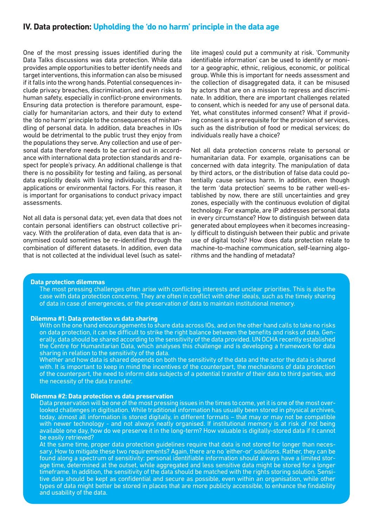## **IV. Data protection: Upholding the 'do no harm' principle in the data age**

One of the most pressing issues identified during the Data Talks discussions was data protection. While data provides ample opportunities to better identify needs and target interventions, this information can also be misused if it falls into the wrong hands. Potential consequences include privacy breaches, discrimination, and even risks to human safety, especially in conflict-prone environments. Ensuring data protection is therefore paramount, especially for humanitarian actors, and their duty to extend the 'do no harm' principle to the consequences of mishandling of personal data. In addition, data breaches in IOs would be detrimental to the public trust they enjoy from the populations they serve. Any collection and use of personal data therefore needs to be carried out in accordance with international data protection standards and respect for people's privacy. An additional challenge is that there is no possibility for testing and failing, as personal data explicitly deals with living individuals, rather than applications or environmental factors. For this reason, it is important for organisations to conduct privacy impact assessments.

Not all data is personal data; yet, even data that does not contain personal identifiers can obstruct collective privacy. With the proliferation of data, even data that is anonymised could sometimes be re-identified through the combination of different datasets. In addition, even data that is not collected at the individual level (such as satel-

lite images) could put a community at risk. 'Community identifiable information' can be used to identify or monitor a geographic, ethnic, religious, economic, or political group. While this is important for needs assessment and the collection of disaggregated data, it can be misused by actors that are on a mission to repress and discriminate. In addition, there are important challenges related to consent, which is needed for any use of personal data. Yet, what constitutes informed consent? What if providing consent is a prerequisite for the provision of services, such as the distribution of food or medical services; do individuals really have a choice?

Not all data protection concerns relate to personal or humanitarian data. For example, organisations can be concerned with data integrity. The manipulation of data by third actors, or the distribution of false data could potentially cause serious harm. In addition, even though the term 'data protection' seems to be rather well-established by now, there are still uncertainties and grey zones, especially with the continuous evolution of digital technology. For example, are IP addresses personal data in every circumstance? How to distinguish between data generated about employees when it becomes increasingly difficult to distinguish between their public and private use of digital tools? How does data protection relate to machine-to-machine communication, self-learning algorithms and the handling of metadata?

#### **Data protection dilemmas**

The most pressing challenges often arise with conflicting interests and unclear priorities. This is also the case with data protection concerns. They are often in conflict with other ideals, such as the timely sharing of data in case of emergencies, or the preservation of data to maintain institutional memory.

#### **Dilemma #1: Data protection vs data sharing**

With on the one hand encouragements to share data across IOs, and on the other hand calls to take no risks<br>on data protection, it can be difficult to strike the right balance between the benefits and risks of data. Generally, data should be shared according to the sensitivity of the data provided. UN OCHA recently established the Centre for Humanitarian Data, which analyses this challenge and is developing a framework for data sharing in relation to the sensitivity of the data.

Whether and how data is shared depends on both the sensitivity of the data and the actor the data is shared with. It is important to keep in mind the incentives of the counterpart, the mechanisms of data protection of the counterpart, the need to inform data subjects of a potential transfer of their data to third parties, and the necessity of the data transfer.

#### **Dilemma #2: Data protection vs data preservation**

Data preservation will be one of the most pressing issues in the times to come, yet it is one of the most overlooked challenges in digitisation. While traditional information has usually been stored in physical archives, today, almost all information is stored digitally, in different formats – that may or may not be compatible with newer technology - and not always neatly organised. If institutional memory is at risk of not being available one day, how do we preserve it in the long-term? How valuable is digitally-stored data if it cannot be easily retrieved?

At the same time, proper data protection guidelines require that data is not stored for longer than necessary. How to mitigate these two requirements? Again, there are no 'either-or' solutions. Rather, they can be found along a spectrum of sensitivity: personal identifiable information should always have a limited storage time, determined at the outset, while aggregated and less sensitive data might be stored for a longer timeframe. In addition, the sensitivity of the data should be matched with the rights storing solution. Sensi-<br>tive data should be kept as confidential and secure as possible, even within an organisation, while other types of data might better be stored in places that are more publicly accessible, to enhance the findability and usability of the data.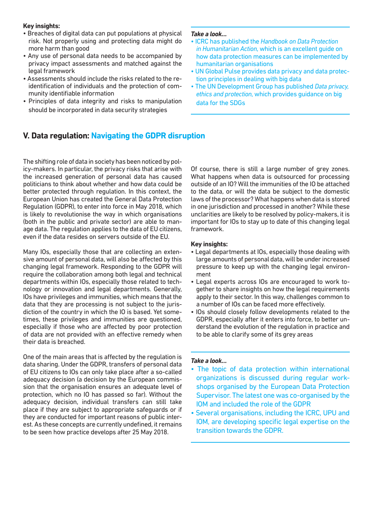## **Key insights:**

- Breaches of digital data can put populations at physical risk. Not properly using and protecting data might do more harm than good
- Any use of personal data needs to be accompanied by privacy impact assessments and matched against the legal framework
- Assessments should include the risks related to the reidentification of individuals and the protection of community identifiable information
- Principles of data integrity and risks to manipulation should be incorporated in data security strategies

#### *Take a look…*

- ICRC has published the *Handbook on Data Protection in Humanitarian Action*, which is an excellent guide on how data protection measures can be implemented by humanitarian organisations
- UN Global Pulse provides data privacy and data protection principles in dealing with big data
- The UN Development Group has published *Data privacy, ethics and protection*, which provides guidance on big data for the SDGs

# **V. Data regulation: Navigating the GDPR disruption**

The shifting role of data in society has been noticed by policy-makers. In particular, the privacy risks that arise with the increased generation of personal data has caused politicians to think about whether and how data could be better protected through regulation. In this context, the European Union has created the General Data Protection Regulation (GDPR), to enter into force in May 2018, which is likely to revolutionise the way in which organisations (both in the public and private sector) are able to manage data. The regulation applies to the data of EU citizens, even if the data resides on servers outside of the EU.

Many IOs, especially those that are collecting an extensive amount of personal data, will also be affected by this changing legal framework. Responding to the GDPR will require the collaboration among both legal and technical departments within IOs, especially those related to technology or innovation and legal departments. Generally, IOs have privileges and immunities, which means that the data that they are processing is not subject to the jurisdiction of the country in which the IO is based. Yet sometimes, these privileges and immunities are questioned, especially if those who are affected by poor protection of data are not provided with an effective remedy when their data is breached.

One of the main areas that is affected by the regulation is data sharing. Under the GDPR, transfers of personal data of EU citizens to IOs can only take place after a so-called adequacy decision (a decision by the European commission that the organisation ensures an adequate level of protection, which no IO has passed so far). Without the adequacy decision, individual transfers can still take place if they are subject to appropriate safeguards or if they are conducted for important reasons of public interest. As these concepts are currently undefined, it remains to be seen how practice develops after 25 May 2018.

Of course, there is still a large number of grey zones. What happens when data is outsourced for processing outside of an IO? Will the immunities of the IO be attached to the data, or will the data be subject to the domestic laws of the processor? What happens when data is stored in one jurisdiction and processed in another? While these unclarities are likely to be resolved by policy-makers, it is important for IOs to stay up to date of this changing legal framework.

## **Key insights:**

- Legal departments at IOs, especially those dealing with large amounts of personal data, will be under increased pressure to keep up with the changing legal environment
- Legal experts across IOs are encouraged to work together to share insights on how the legal requirements apply to their sector. In this way, challenges common to a number of IOs can be faced more effectively.
- IOs should closely follow developments related to the GDPR, especially after it enters into force, to better understand the evolution of the regulation in practice and to be able to clarify some of its grey areas

## *Take a look…*

- The topic of data protection within international organizations is discussed during regular workshops organised by the European Data Protection Supervisor. The latest one was co-organised by the IOM and included the role of the GDPR
- Several organisations, including the ICRC, UPU and IOM, are developing specific legal expertise on the transition towards the GDPR.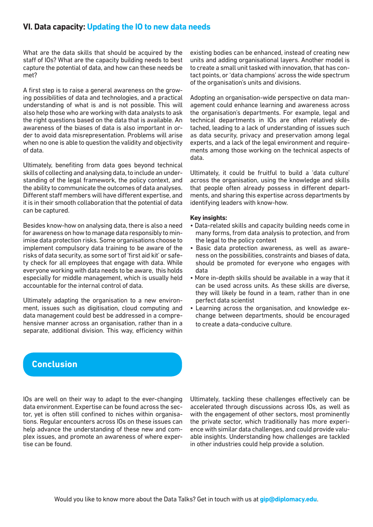# **VI. Data capacity: Updating the IO to new data needs**

What are the data skills that should be acquired by the staff of IOs? What are the capacity building needs to best capture the potential of data, and how can these needs be met?

A first step is to raise a general awareness on the growing possibilities of data and technologies, and a practical understanding of what is and is not possible. This will also help those who are working with data analysts to ask the right questions based on the data that is available. An awareness of the biases of data is also important in order to avoid data misrepresentation. Problems will arise when no one is able to question the validity and objectivity of data.

Ultimately, benefiting from data goes beyond technical skills of collecting and analysing data, to include an understanding of the legal framework, the policy context, and the ability to communicate the outcomes of data analyses. Different staff members will have different expertise, and it is in their smooth collaboration that the potential of data can be captured.

Besides know-how on analysing data, there is also a need for awareness on how to manage data responsibly to minimise data protection risks. Some organisations choose to implement compulsory data training to be aware of the risks of data security, as some sort of 'first aid kit' or safety check for all employees that engage with data. While everyone working with data needs to be aware, this holds especially for middle management, which is usually held accountable for the internal control of data.

Ultimately adapting the organisation to a new environment, issues such as digitisation, cloud computing and data management could best be addressed in a comprehensive manner across an organisation, rather than in a separate, additional division. This way, efficiency within existing bodies can be enhanced, instead of creating new units and adding organisational layers. Another model is to create a small unit tasked with innovation, that has contact points, or 'data champions' across the wide spectrum of the organisation's units and divisions.

Adopting an organisation-wide perspective on data management could enhance learning and awareness across the organisation's departments. For example, legal and technical departments in IOs are often relatively detached, leading to a lack of understanding of issues such as data security, privacy and preservation among legal experts, and a lack of the legal environment and requirements among those working on the technical aspects of data.

Ultimately, it could be fruitful to build a 'data culture' across the organisation, using the knowledge and skills that people often already possess in different departments, and sharing this expertise across departments by identifying leaders with know-how.

#### **Key insights:**

- Data-related skills and capacity building needs come in many forms, from data analysis to protection, and from the legal to the policy context
- Basic data protection awareness, as well as awareness on the possibilities, constraints and biases of data, should be promoted for everyone who engages with data
- More in-depth skills should be available in a way that it can be used across units. As these skills are diverse, they will likely be found in a team, rather than in one perfect data scientist
- Learning across the organisation, and knowledge exchange between departments, should be encouraged to create a data-conducive culture.

# **Conclusion**

IOs are well on their way to adapt to the ever-changing data environment. Expertise can be found across the sector, yet is often still confined to niches within organisations. Regular encounters across IOs on these issues can help advance the understanding of these new and complex issues, and promote an awareness of where expertise can be found.

Ultimately, tackling these challenges effectively can be accelerated through discussions across IOs, as well as with the engagement of other sectors, most prominently the private sector, which traditionally has more experience with similar data challenges, and could provide valuable insights. Understanding how challenges are tackled in other industries could help provide a solution.